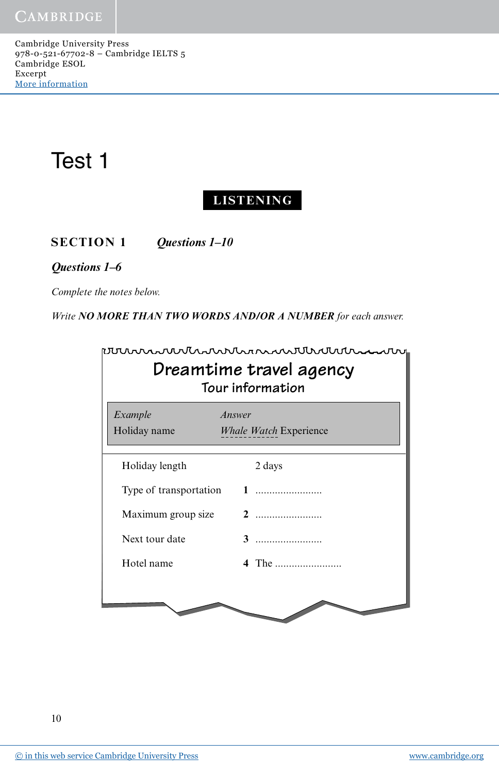CAMBRIDGE

Cambridge University Press 978-0-521-67702-8 – Cambridge IELTS 5 Cambridge ESOL Excerpt More [information](http://www.cambridge.org/9780521677028)

# Test 1

## **LISTENING**

**SECTION 1** *Questions 1–10*

#### *Questions 1–6*

*Complete the notes below.*

*Write NO MORE THAN TWO WORDS AND/OR A NUMBER for each answer.*

| Dreamtime travel agency<br>Tour information |                                         |
|---------------------------------------------|-----------------------------------------|
| Example<br>Holiday name                     | Answer<br><b>Whale Watch Experience</b> |
| Holiday length                              | 2 days                                  |
| Type of transportation                      | 1                                       |
| Maximum group size                          | 2                                       |
| Next tour date                              |                                         |
| Hotel name                                  | 4 The                                   |